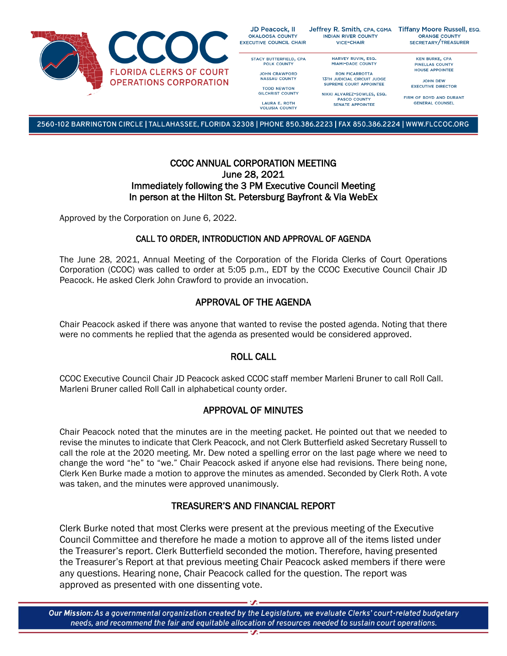

| D Peacock, II<br>ALOOSA COUNTY<br><b>ITIVE COUNCIL CHAIR</b> | Jeffrey R. Smith, CPA, CGMA<br><b>INDIAN RIVER COUNTY</b><br><b>VICE-CHAIR</b> | <b>Tiffany Moore Russell, ESQ.</b><br><b>ORANGE COUNTY</b><br>SECRETARY/TREASURER |
|--------------------------------------------------------------|--------------------------------------------------------------------------------|-----------------------------------------------------------------------------------|
| <b>FACY BUTTERFIELD, CPA</b>                                 | HARVEY RUVIN, ESQ.                                                             | <b>KEN BURKE, CPA</b>                                                             |
| <b>POLK COUNTY</b>                                           | <b>MIAMI-DADE COUNTY</b>                                                       | <b>PINELLAS COUNTY</b>                                                            |
|                                                              |                                                                                | <b>HOUSE APPOINTEE</b>                                                            |
| <b>JOHN CRAWFORD</b>                                         | <b>RON FICARROTTA</b>                                                          |                                                                                   |
| <b>NASSAU COUNTY</b>                                         | <b>13TH JUDICIAL CIRCUIT JUDGE</b>                                             | <b>JOHN DEW</b>                                                                   |
|                                                              | <b>SUPREME COURT APPOINTEE</b>                                                 |                                                                                   |
| <b>TODD NEWTON</b>                                           |                                                                                | <b>EXECUTIVE DIRECTOR</b>                                                         |
| <b>GILCHRIST COUNTY</b>                                      | NIKKI ALVAREZ-SOWLES, ESQ.                                                     |                                                                                   |

PASCO COUNTY SENATE APPOINTEE

FIRM OF BOYD AND DURANT **GENERAL COUNSEL** 

2560-102 BARRINGTON CIRCLE | TALLAHASSEE, FLORIDA 32308 | PHONE 850.386.2223 | FAX 850.386.2224 | WWW.FLCCOC.ORG

LAURA E. ROTH

**VOLUSIA COUNTY** 

Ok

### CCOC ANNUAL CORPORATION MEETING June 28, 2021 Immediately following the 3 PM Executive Council Meeting In person at the Hilton St. Petersburg Bayfront & Via WebEx

Approved by the Corporation on June 6, 2022.

### CALL TO ORDER, INTRODUCTION AND APPROVAL OF AGENDA

The June 28, 2021, Annual Meeting of the Corporation of the Florida Clerks of Court Operations Corporation (CCOC) was called to order at 5:05 p.m., EDT by the CCOC Executive Council Chair JD Peacock. He asked Clerk John Crawford to provide an invocation.

# APPROVAL OF THE AGENDA

Chair Peacock asked if there was anyone that wanted to revise the posted agenda. Noting that there were no comments he replied that the agenda as presented would be considered approved.

# ROLL CALL

CCOC Executive Council Chair JD Peacock asked CCOC staff member Marleni Bruner to call Roll Call. Marleni Bruner called Roll Call in alphabetical county order.

# APPROVAL OF MINUTES

Chair Peacock noted that the minutes are in the meeting packet. He pointed out that we needed to revise the minutes to indicate that Clerk Peacock, and not Clerk Butterfield asked Secretary Russell to call the role at the 2020 meeting. Mr. Dew noted a spelling error on the last page where we need to change the word "he" to "we." Chair Peacock asked if anyone else had revisions. There being none, Clerk Ken Burke made a motion to approve the minutes as amended. Seconded by Clerk Roth. A vote was taken, and the minutes were approved unanimously.

## TREASURER'S AND FINANCIAL REPORT

Clerk Burke noted that most Clerks were present at the previous meeting of the Executive Council Committee and therefore he made a motion to approve all of the items listed under the Treasurer's report. Clerk Butterfield seconded the motion. Therefore, having presented the Treasurer's Report at that previous meeting Chair Peacock asked members if there were any questions. Hearing none, Chair Peacock called for the question. The report was approved as presented with one dissenting vote.

Our Mission: As a governmental organization created by the Legislature, we evaluate Clerks' court-related budgetary needs, and recommend the fair and equitable allocation of resources needed to sustain court operations.